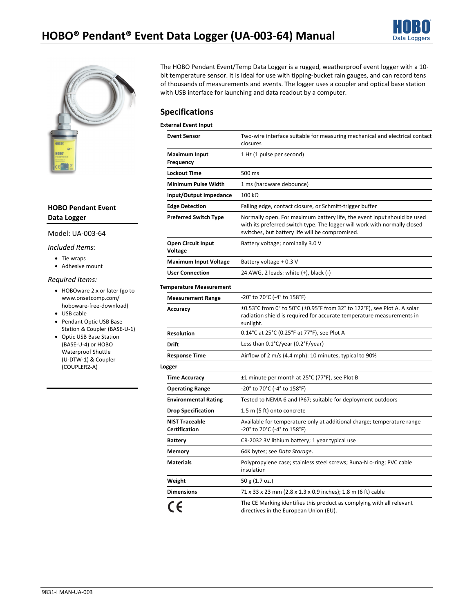



### **HOBO Pendant Event Data Logger**

#### Model: UA-003-64

#### *Included Items:*

- Tie wraps
- Adhesive mount

#### *Required Items:*

- HOBOware 2.x or later (go to www.onsetcomp.com/ hoboware-free-download)
- USB cable
- Pendant Optic USB Base Station & Coupler (BASE-U-1)
- Optic USB Base Station (BASE-U-4) or HOBO Waterproof Shuttle (U-DTW-1) & Coupler (COUPLER2-A)

The HOBO Pendant Event/Temp Data Logger is a rugged, weatherproof event logger with a 10 bit temperature sensor. It is ideal for use with tipping-bucket rain gauges, and can record tens of thousands of measurements and events. The logger uses a coupler and optical base station with USB interface for launching and data readout by a computer.

## **Specifications**

#### **External Event Input**

| <b>Event Sensor</b>                           | Two-wire interface suitable for measuring mechanical and electrical contact<br>closures                                                                                                                 |  |
|-----------------------------------------------|---------------------------------------------------------------------------------------------------------------------------------------------------------------------------------------------------------|--|
| <b>Maximum Input</b><br><b>Frequency</b>      | 1 Hz (1 pulse per second)                                                                                                                                                                               |  |
| <b>Lockout Time</b>                           | 500 ms                                                                                                                                                                                                  |  |
| <b>Minimum Pulse Width</b>                    | 1 ms (hardware debounce)                                                                                                                                                                                |  |
| Input/Output Impedance                        | $100 k\Omega$                                                                                                                                                                                           |  |
| <b>Edge Detection</b>                         | Falling edge, contact closure, or Schmitt-trigger buffer                                                                                                                                                |  |
| <b>Preferred Switch Type</b>                  | Normally open. For maximum battery life, the event input should be used<br>with its preferred switch type. The logger will work with normally closed<br>switches, but battery life will be compromised. |  |
| <b>Open Circuit Input</b><br>Voltage          | Battery voltage; nominally 3.0 V                                                                                                                                                                        |  |
| <b>Maximum Input Voltage</b>                  | Battery voltage + 0.3 V                                                                                                                                                                                 |  |
| <b>User Connection</b>                        | 24 AWG, 2 leads: white (+), black (-)                                                                                                                                                                   |  |
| <b>Temperature Measurement</b>                |                                                                                                                                                                                                         |  |
| <b>Measurement Range</b>                      | -20° to 70°C (-4° to 158°F)                                                                                                                                                                             |  |
| Accuracy                                      | ±0.53°C from 0° to 50°C (±0.95°F from 32° to 122°F), see Plot A. A solar<br>radiation shield is required for accurate temperature measurements in<br>sunlight.                                          |  |
| <b>Resolution</b>                             | 0.14°C at 25°C (0.25°F at 77°F), see Plot A                                                                                                                                                             |  |
| <b>Drift</b>                                  | Less than 0.1°C/year (0.2°F/year)                                                                                                                                                                       |  |
| <b>Response Time</b>                          | Airflow of 2 m/s (4.4 mph): 10 minutes, typical to 90%                                                                                                                                                  |  |
| Logger                                        |                                                                                                                                                                                                         |  |
| <b>Time Accuracy</b>                          | ±1 minute per month at 25°C (77°F), see Plot B                                                                                                                                                          |  |
| <b>Operating Range</b>                        | -20° to 70°C (-4° to 158°F)                                                                                                                                                                             |  |
| <b>Environmental Rating</b>                   | Tested to NEMA 6 and IP67; suitable for deployment outdoors                                                                                                                                             |  |
| <b>Drop Specification</b>                     | 1.5 m (5 ft) onto concrete                                                                                                                                                                              |  |
| <b>NIST Traceable</b><br><b>Certification</b> | Available for temperature only at additional charge; temperature range<br>-20° to 70°C (-4° to 158°F)                                                                                                   |  |
| <b>Battery</b>                                | CR-2032 3V lithium battery; 1 year typical use                                                                                                                                                          |  |
| <b>Memory</b>                                 | 64K bytes; see Data Storage.                                                                                                                                                                            |  |
| <b>Materials</b>                              | Polypropylene case; stainless steel screws; Buna-N o-ring; PVC cable<br>insulation                                                                                                                      |  |
| Weight                                        | 50 g (1.7 oz.)                                                                                                                                                                                          |  |
| <b>Dimensions</b>                             | 71 x 33 x 23 mm (2.8 x 1.3 x 0.9 inches); 1.8 m (6 ft) cable                                                                                                                                            |  |
| CE                                            | The CE Marking identifies this product as complying with all relevant<br>directives in the European Union (EU).                                                                                         |  |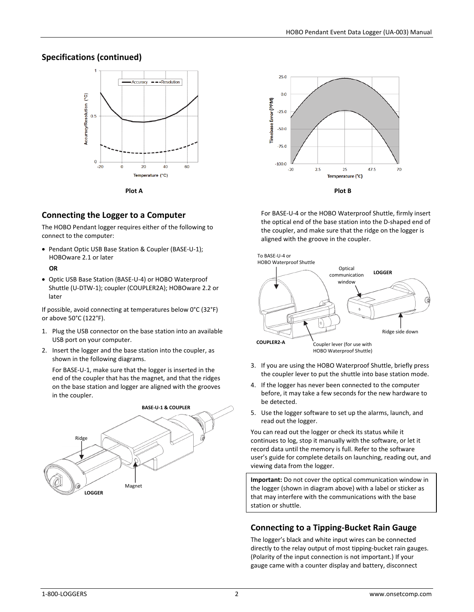## **Specifications (continued)**



# **Connecting the Logger to a Computer**

The HOBO Pendant logger requires either of the following to connect to the computer:

• Pendant Optic USB Base Station & Coupler (BASE-U-1); HOBOware 2.1 or later

### **OR**

• Optic USB Base Station (BASE-U-4) or HOBO Waterproof Shuttle (U-DTW-1); coupler (COUPLER2A); HOBOware 2.2 or later

If possible, avoid connecting at temperatures below 0°C (32°F) or above 50°C (122°F).

- 1. Plug the USB connector on the base station into an available USB port on your computer.
- 2. Insert the logger and the base station into the coupler, as shown in the following diagrams.

For BASE-U-1, make sure that the logger is inserted in the end of the coupler that has the magnet, and that the ridges on the base station and logger are aligned with the grooves in the coupler.





For BASE-U-4 or the HOBO Waterproof Shuttle, firmly insert the optical end of the base station into the D-shaped end of the coupler, and make sure that the ridge on the logger is aligned with the groove in the coupler.



- 3. If you are using the HOBO Waterproof Shuttle, briefly press the coupler lever to put the shuttle into base station mode.
- 4. If the logger has never been connected to the computer before, it may take a few seconds for the new hardware to be detected.
- 5. Use the logger software to set up the alarms, launch, and read out the logger.

You can read out the logger or check its status while it continues to log, stop it manually with the software, or let it record data until the memory is full. Refer to the software user's guide for complete details on launching, reading out, and viewing data from the logger.

**Important:** Do not cover the optical communication window in the logger (shown in diagram above) with a label or sticker as that may interfere with the communications with the base station or shuttle.

## **Connecting to a Tipping-Bucket Rain Gauge**

The logger's black and white input wires can be connected directly to the relay output of most tipping-bucket rain gauges. (Polarity of the input connection is not important.) If your gauge came with a counter display and battery, disconnect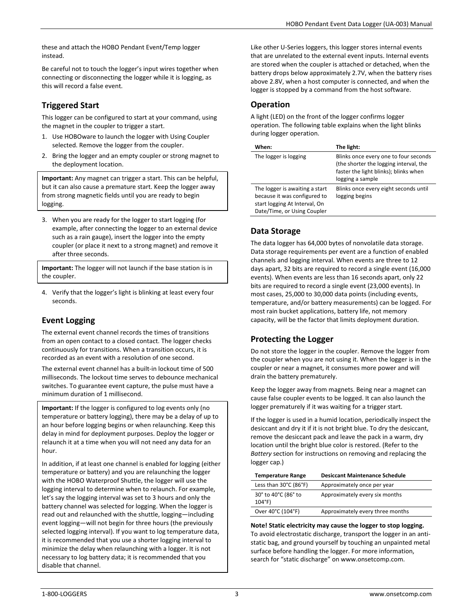these and attach the HOBO Pendant Event/Temp logger instead.

Be careful not to touch the logger's input wires together when connecting or disconnecting the logger while it is logging, as this will record a false event.

# **Triggered Start**

This logger can be configured to start at your command, using the magnet in the coupler to trigger a start.

- 1. Use HOBOware to launch the logger with Using Coupler selected. Remove the logger from the coupler.
- 2. Bring the logger and an empty coupler or strong magnet to the deployment location.

**Important:** Any magnet can trigger a start. This can be helpful, but it can also cause a premature start. Keep the logger away from strong magnetic fields until you are ready to begin logging.

3. When you are ready for the logger to start logging (for example, after connecting the logger to an external device such as a rain gauge), insert the logger into the empty coupler (or place it next to a strong magnet) and remove it after three seconds.

**Important:** The logger will not launch if the base station is in the coupler.

4. Verify that the logger's light is blinking at least every four seconds.

# **Event Logging**

The external event channel records the times of transitions from an open contact to a closed contact. The logger checks continuously for transitions. When a transition occurs, it is recorded as an event with a resolution of one second.

The external event channel has a built-in lockout time of 500 milliseconds. The lockout time serves to debounce mechanical switches. To guarantee event capture, the pulse must have a minimum duration of 1 millisecond.

**Important:** If the logger is configured to log events only (no temperature or battery logging), there may be a delay of up to an hour before logging begins or when relaunching. Keep this delay in mind for deployment purposes. Deploy the logger or relaunch it at a time when you will not need any data for an hour.

In addition, if at least one channel is enabled for logging (either temperature or battery) and you are relaunching the logger with the HOBO Waterproof Shuttle, the logger will use the logging interval to determine when to relaunch. For example, let's say the logging interval was set to 3 hours and only the battery channel was selected for logging. When the logger is read out and relaunched with the shuttle, logging—including event logging—will not begin for three hours (the previously selected logging interval). If you want to log temperature data, it is recommended that you use a shorter logging interval to minimize the delay when relaunching with a logger. It is not necessary to log battery data; it is recommended that you disable that channel.

Like other U-Series loggers, this logger stores internal events that are unrelated to the external event inputs. Internal events are stored when the coupler is attached or detached, when the battery drops below approximately 2.7V, when the battery rises above 2.8V, when a host computer is connected, and when the logger is stopped by a command from the host software.

# **Operation**

A light (LED) on the front of the logger confirms logger operation. The following table explains when the light blinks during logger operation.

| When:                                                                                                                          | The light:                                                                                                                                   |
|--------------------------------------------------------------------------------------------------------------------------------|----------------------------------------------------------------------------------------------------------------------------------------------|
| The logger is logging                                                                                                          | Blinks once every one to four seconds<br>(the shorter the logging interval, the<br>faster the light blinks); blinks when<br>logging a sample |
| The logger is awaiting a start<br>because it was configured to<br>start logging At Interval, On<br>Date/Time, or Using Coupler | Blinks once every eight seconds until<br>logging begins                                                                                      |

# **Data Storage**

The data logger has 64,000 bytes of nonvolatile data storage. Data storage requirements per event are a function of enabled channels and logging interval. When events are three to 12 days apart, 32 bits are required to record a single event (16,000 events). When events are less than 16 seconds apart, only 22 bits are required to record a single event (23,000 events). In most cases, 25,000 to 30,000 data points (including events, temperature, and/or battery measurements) can be logged. For most rain bucket applications, battery life, not memory capacity, will be the factor that limits deployment duration.

# **Protecting the Logger**

Do not store the logger in the coupler. Remove the logger from the coupler when you are not using it. When the logger is in the coupler or near a magnet, it consumes more power and will drain the battery prematurely.

Keep the logger away from magnets. Being near a magnet can cause false coupler events to be logged. It can also launch the logger prematurely if it was waiting for a trigger start.

If the logger is used in a humid location, periodically inspect the desiccant and dry it if it is not bright blue. To dry the desiccant, remove the desiccant pack and leave the pack in a warm, dry location until the bright blue color is restored. (Refer to the *Battery* section for instructions on removing and replacing the logger cap.)

| <b>Temperature Range</b>                   | <b>Desiccant Maintenance Schedule</b> |
|--------------------------------------------|---------------------------------------|
| Less than $30^{\circ}$ C (86 $^{\circ}$ F) | Approximately once per year           |
| 30° to 40°C (86° to<br>$104^{\circ}F$      | Approximately every six months        |
| Over 40°C (104°F)                          | Approximately every three months      |

**Note! Static electricity may cause the logger to stop logging.**  To avoid electrostatic discharge, transport the logger in an antistatic bag, and ground yourself by touching an unpainted metal surface before handling the logger. For more information, search for "static discharge" on www.onsetcomp.com.